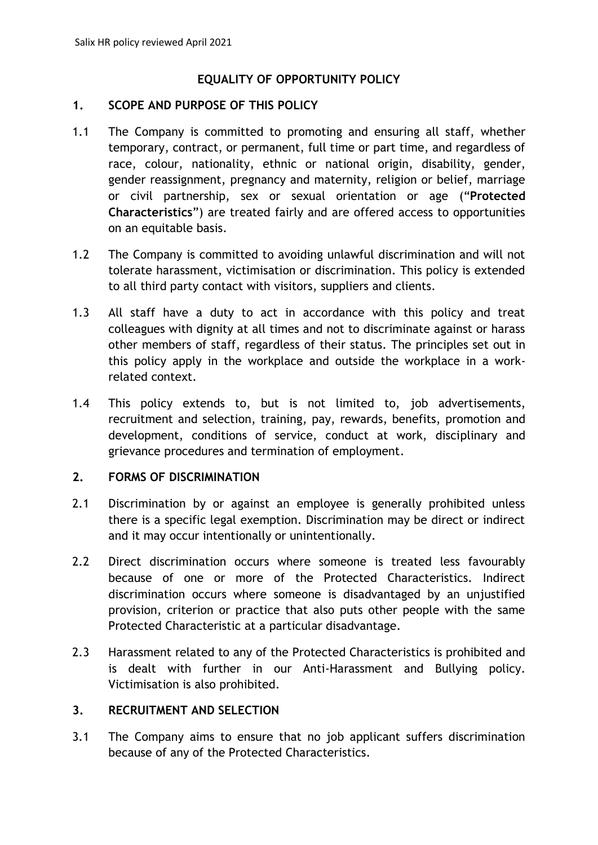## **EQUALITY OF OPPORTUNITY POLICY**

#### **1. SCOPE AND PURPOSE OF THIS POLICY**

- 1.1 The Company is committed to promoting and ensuring all staff, whether temporary, contract, or permanent, full time or part time, and regardless of race, colour, nationality, ethnic or national origin, disability, gender, gender reassignment, pregnancy and maternity, religion or belief, marriage or civil partnership, sex or sexual orientation or age ("**Protected Characteristics**") are treated fairly and are offered access to opportunities on an equitable basis.
- 1.2 The Company is committed to avoiding unlawful discrimination and will not tolerate harassment, victimisation or discrimination. This policy is extended to all third party contact with visitors, suppliers and clients.
- 1.3 All staff have a duty to act in accordance with this policy and treat colleagues with dignity at all times and not to discriminate against or harass other members of staff, regardless of their status. The principles set out in this policy apply in the workplace and outside the workplace in a workrelated context.
- 1.4 This policy extends to, but is not limited to, job advertisements, recruitment and selection, training, pay, rewards, benefits, promotion and development, conditions of service, conduct at work, disciplinary and grievance procedures and termination of employment.

#### **2. FORMS OF DISCRIMINATION**

- 2.1 Discrimination by or against an employee is generally prohibited unless there is a specific legal exemption. Discrimination may be direct or indirect and it may occur intentionally or unintentionally.
- 2.2 Direct discrimination occurs where someone is treated less favourably because of one or more of the Protected Characteristics. Indirect discrimination occurs where someone is disadvantaged by an unjustified provision, criterion or practice that also puts other people with the same Protected Characteristic at a particular disadvantage.
- 2.3 Harassment related to any of the Protected Characteristics is prohibited and is dealt with further in our Anti-Harassment and Bullying policy. Victimisation is also prohibited.

#### **3. RECRUITMENT AND SELECTION**

3.1 The Company aims to ensure that no job applicant suffers discrimination because of any of the Protected Characteristics.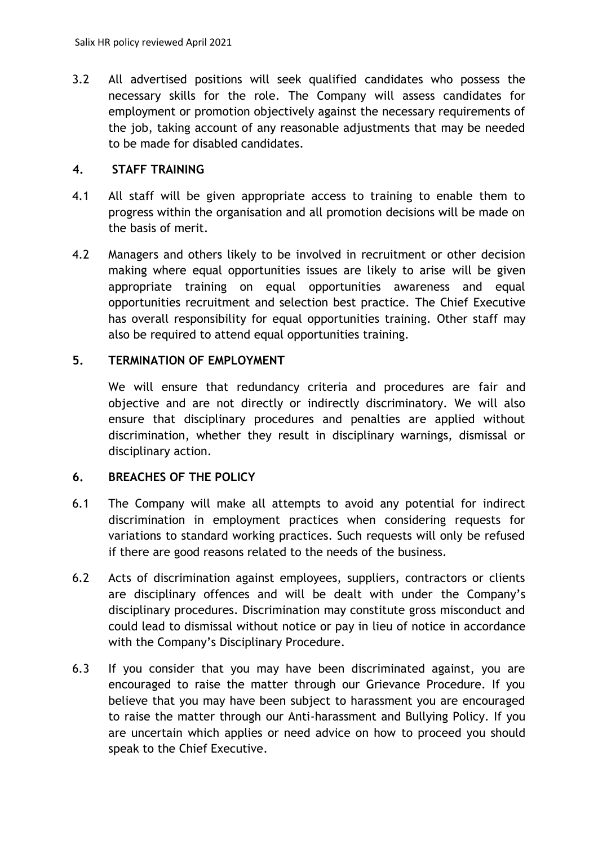3.2 All advertised positions will seek qualified candidates who possess the necessary skills for the role. The Company will assess candidates for employment or promotion objectively against the necessary requirements of the job, taking account of any reasonable adjustments that may be needed to be made for disabled candidates.

## **4. STAFF TRAINING**

- 4.1 All staff will be given appropriate access to training to enable them to progress within the organisation and all promotion decisions will be made on the basis of merit.
- 4.2 Managers and others likely to be involved in recruitment or other decision making where equal opportunities issues are likely to arise will be given appropriate training on equal opportunities awareness and equal opportunities recruitment and selection best practice. The Chief Executive has overall responsibility for equal opportunities training. Other staff may also be required to attend equal opportunities training.

# **5. TERMINATION OF EMPLOYMENT**

We will ensure that redundancy criteria and procedures are fair and objective and are not directly or indirectly discriminatory. We will also ensure that disciplinary procedures and penalties are applied without discrimination, whether they result in disciplinary warnings, dismissal or disciplinary action.

## **6. BREACHES OF THE POLICY**

- 6.1 The Company will make all attempts to avoid any potential for indirect discrimination in employment practices when considering requests for variations to standard working practices. Such requests will only be refused if there are good reasons related to the needs of the business.
- 6.2 Acts of discrimination against employees, suppliers, contractors or clients are disciplinary offences and will be dealt with under the Company's disciplinary procedures. Discrimination may constitute gross misconduct and could lead to dismissal without notice or pay in lieu of notice in accordance with the Company's Disciplinary Procedure.
- 6.3 If you consider that you may have been discriminated against, you are encouraged to raise the matter through our Grievance Procedure. If you believe that you may have been subject to harassment you are encouraged to raise the matter through our Anti-harassment and Bullying Policy. If you are uncertain which applies or need advice on how to proceed you should speak to the Chief Executive.